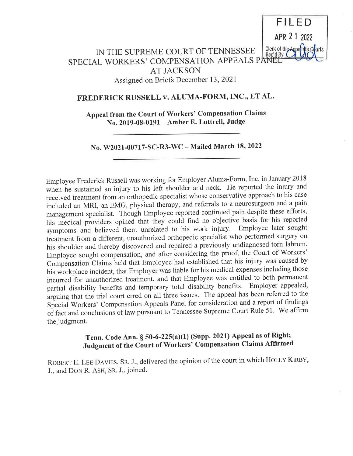

# IN THE SUPREME COURT OF TENNESSEE SPECIAL WORKERS' COMPENSATION APPEALS <sup>P</sup> AT JACKSON Assigned on Briefs December 13, <sup>2021</sup>

# FREDERICK RUSSELL v. ALUMA-FORM, INC., ET AL.

Appeal from the Court of Workers' Compensation Claims No. 2019-08-0191 Amber E. Luttrell, Judge

No. W2021-00717-SC-R3-WC — Mailed March 18, 2022

Employee Frederick Russell was working for Employer Aluma-Forrn, Inc. in January <sup>2018</sup> when he sustained an injury to his left shoulder and neck. He reported the injury and received treatment from an orthopedic specialist whose conservative approach to his case included an MRI, an EMG, physical therapy, and referrals to a neurosurgeon and a pain management specialist. Though Employee reported continued pain despite these efforts, his medical providers opined that they could find no objective basis for his reported syrnptoms and believed them unrelated to his work injury. Employee later sought treatment from a different, unauthorized orthopedic specialist who performed surgery on his shoulder and thereby discovered and repaired a previously undiagnosed torn labrum. Employee sought compensation, and after considering the proof, the Court of Workers' Compensation Claims held that Employee had established that his injury was caused by his workplace incident, that Ernployer was liable for his medical expenses including those incurred for unauthorized treatrnent, and that Employee was entitled to both permanent partial disability benefits and temporary total disability benefits. Employer appealed, arguing that the trial court erred on all three issues. The appeal has been referred to the Special Workers' Compensation Appeals Panel for consideration and a report of findings of fact and conclusions of law pursuant to Tennessee Supreme Court Rule 51. We affirm the judgment.

## Tenn. Code Ann. § 50-6-225(a)(1) (Supp. 2021) Appeal as of Right; Judgment of the Court of Workers' Compensation Claims Affirmed

ROBERT E. LEE DAVIES, SR. J., delivered the opinion of the court in which HOLLY KIRBY, J., and DON R. ASH, SR. J., joined.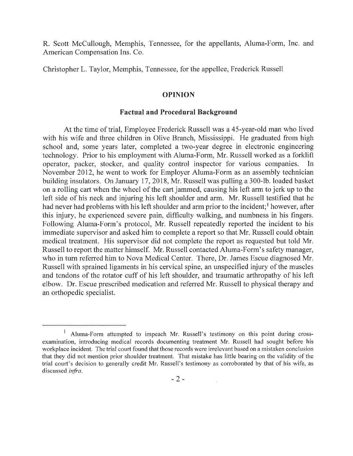R. Scott McCullough, Memphis, Tennessee, for the appellants, Aluma-Form, Inc. and American Compensation Ins. Co.

Christopher L. Taylor, Memphis, Tennessee, for the appellee, Frederick Russell

### OPINION

## Factual and Procedural Background

At the time of trial, Employee Frederick Russell was a 45-year-old man who lived with his wife and three children in Olive Branch, Mississippi. He graduated from high school and, some years later, completed a two-year degree in electronic engineering technology. Prior to his employment with Aluma-Form, Mr. Russell worked as a forklift operator, packer, stocker, and quality control inspector for various companies. In November 2012, he went to work for Employer Aluma-Form as an assembly technician building insulators. On January 17, 2018, Mr. Russell was pulling a 300-1b. loaded basket on a rolling cart when the wheel of the cart jammed, causing his left arm to jerk up to the left side of his neck and injuring his left shoulder and arm. Mr. Russell testified that he had never had problems with his left shoulder and arm prior to the incident;<sup>1</sup> however, after this injury, he experienced severe pain, difficulty walking, and numbness in his fingers. Following Aluma-Form's protocol, Mr. Russell repeatedly reported the incident to his immediate supervisor and asked him to complete a report so that Mr. Russell could obtain medical treatment. His supervisor did not complete the report as requested but told Mr. Russell to report the matter himself. Mr. Russell contacted Aluma-Forrn's safety manager, who in turn referred him to Nova Medical Center. There, Dr. James Escue diagnosed Mr. Russell with sprained ligaments in his cervical spine, an unspecified injury of the muscles and tendons of the rotator cuff of his left shoulder, and traumatic arthropathy of his left elbow. Dr. Escue prescribed medication and referred Mr. Russell to physical therapy and an orthopedic specialist.

<sup>&</sup>lt;sup>1</sup> Aluma-Form attempted to impeach Mr. Russell's testimony on this point during crossexamination, introducing medical records documenting treatment Mr. Russell had sought before his workplace incident. The trial court found that those records were irrelevant based on a mistaken conclusion that they did not mention prior shoulder treatment. That mistake has little bearing on the validity of the trial court's decision to generally credit Mr. Russell's testimony as corroborated by that of his wife, as discussed infra.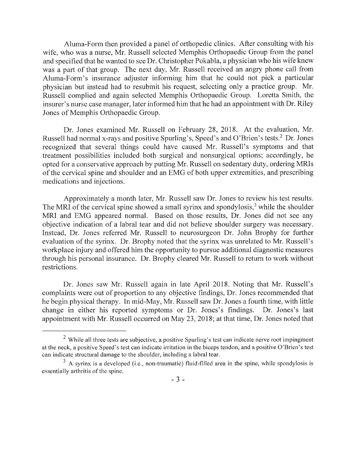Aluma-Forrn then provided a panel of orthopedic clinics. After consulting with his wife, who was a nurse, Mr. Russell selected Memphis Orthopaedic Group from the panel and specified that he wanted to see Dr. Christopher Pokabla, a physician who his wife knew was a part of that group. The next day, Mr. Russell received an angry phone call from Aluma-Form's insurance adjuster informing him that he could not pick a particular physician but instead had to resubmit his request, selecting only a practice group. Mr. Russell complied and again selected Memphis Orthopaedic Group. Loretta Smith, the insurer's nurse case manager, later inforrned him that he had an appointment with Dr. Riley Jones of Memphis Orthopaedic Group.

Dr. Jones examined Mr. Russell on February 28, 2018. At the evaluation, Mr. Russell had normal x-rays and positive Spurling's, Speed's and O'Brien's tests.2 Dr. Jones recognized that several things could have caused Mr. Russell's symptoms and that treatment possibilities included both surgical and nonsurgical options; accordingly, he opted for a conservative approach by putting Mr. Russell on sedentary duty, ordering MRIs of the cervical spine and shoulder and an EMG of both upper extremities, and prescribing medications and injections.

Approximately a month later, Mr. Russell saw Dr. Jones to review his test results. The MRI of the cervical spine showed a small syrinx and spondylosis,<sup>3</sup> while the shoulder MRI and EMG appeared normal. Based on those results, Dr. Jones did not see any objective indication of a labral tear and did not believe shoulder surgery was necessary. Instead, Dr. Jones referred Mr. Russell to neurosurgeon Dr. John Brophy for further evaluation of the syrinx. Dr. Brophy noted that the syrinx was unrelated to Mr. Russell's workplace injury and offered him the opportunity to pursue additional diagnostic measures through his personal insurance. Dr. Brophy cleared Mr. Russell to return to work without restrictions.

Dr. Jones saw Mr. Russell again in late April 2018. Noting that Mr. Russell's complaints were out of proportion to any objective findings, Dr. Jones recommended that he begin physical therapy. In mid-May, Mr. Russell saw Dr. Jones a fourth time, with little change in either his reported symptoms or Dr. Jones's findings. Dr. Jones's last appointment with Mr. Russell occurred on May 23, 2018; at that tirne, Dr. Jones noted that

 $2$  While all three tests are subjective, a positive Spurling's test can indicate nerve root impingment at the neck, a positive Speed's test can indicate irritation in the biceps tendon, and a positive O'Brien's test can indicate structural damage to the shoulder, including a labral tear.

 $3$  A syrinx is a developed (i.e., non-traumatic) fluid-filled area in the spine, while spondylosis is essentially arthritis of the spine.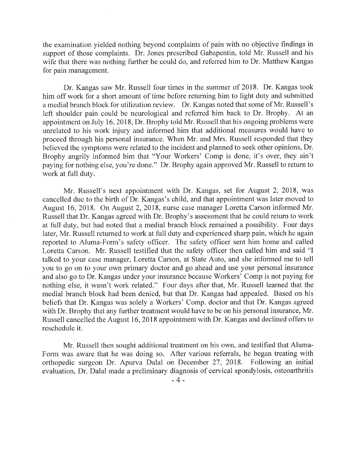the examination yielded nothing beyond complaints of pain with no objective findings in support of those complaints. Dr. Jones prescribed Gabapentin, told Mr. Russell and his wife that there was nothing further he could do, and referred him to Dr. Matthew Kangas for pain management.

Dr. Kangas saw Mr. Russell four times in the summer of 2018. Dr. Kangas took him off work for a short amount of time before returning him to light duty and submitted a medial branch block for utilization review. Dr. Kangas noted that some of Mr. Russell's left shoulder pain could be neurological and referred him back to Dr. Brophy. At an appointment on July 16, 2018, Dr. Brophy told Mr. Russell that his ongoing problems were unrelated to his work injury and informed him that additional measures would have to proceed through his personal insurance. When Mr. and Mrs. Russell responded that they believed the symptoms were related to the incident and planned to seek other opinions, Dr. Brophy angrily informed him that "Your Workers' Comp is done, it's over, they ain't paying for nothing else, you're done." Dr. Brophy again approved Mr. Russell to return to work at full duty.

Mr. Russell's next appointment with Dr. Kangas, set for August 2, 2018, was cancelled due to the birth of Dr. Kangas's child, and that appointment was later moved to August 16, 2018. On August 2, 2018, nurse case manager Loretta Carson informed Mr. Russell that Dr. Kangas agreed with Dr. Brophy's assessment that he could return to work at full duty, but had noted that a medial branch block remained a possibility. Four days later, Mr. Russell returned to work at full duty and experienced sharp pain, which he again reported to Aluma-Form's safety officer. The safety officer sent him home and called Loretta Carson. Mr. Russell testified that the safety officer then called him and said "I talked to your case manager, Loretta Carson, at State Auto, and she informed me to tell you to go on to your own primary doctor and go ahead and use your personal insurance and also go to Dr. Kangas under your insurance because Workers' Comp is not paying for nothing else, it wasn't work related." Four days after that, Mr. Russell learned that the medial branch block had been denied, but that Dr. Kangas had appealed. Based on his beliefs that Dr. Kangas was solely a Workers' Comp. doctor and that Dr. Kangas agreed with Dr. Brophy that any further treatment would have to be on his personal insurance, Mr. Russell cancelled the August 16, 2018 appointment with Dr. Kangas and declined offers to reschedule it.

Mr. Russell then sought additional treatment on his own, and testified that Aluma-Form was aware that he was doing so. After various referrals, he began treating with orthopedic surgeon Dr. Apurva Dalal on December 27, 2018. Following an initial evaluation, Dr. Dalal made a preliminary diagnosis of cervical spondylosis, osteoarthritis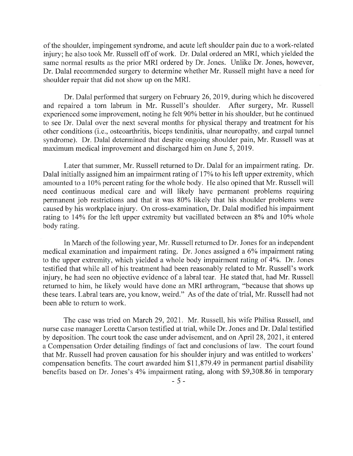of the shoulder, impingement syndrorne, and acute left shoulder pain due to a work-related injury; he also took Mr. Russell off of work. Dr. Dalal ordered an MRI, which yielded the same normal results as the prior MRI ordered by Dr. Jones. Unlike Dr. Jones, however, Dr. Dalal recommended surgery to determine whether Mr. Russell might have a need for shoulder repair that did not show up on the MRI.

Dr. Dalal perforrned that surgery on February 26, 2019, during which he discovered and repaired a torn labrum in Mr. Russell's shoulder. After surgery, Mr. Russell experienced some improvement, noting he felt 90% better in his shoulder, but he continued to see Dr. Dalal over the next several months for physical therapy and treatment for his other conditions (i.e., osteoarthritis, biceps tendinitis, ulnar neuropathy, and carpal tunnel syndrome). Dr. Dalal deterrnined that despite ongoing shoulder pain, Mr. Russell was at maximum medical improvement and discharged him on June 5, 2019.

Later that summer, Mr. Russell returned to Dr. Dalal for an impairment rating. Dr. Dalal initially assigned him an impairment rating of 17% to his left upper extremity, which amounted to a 10% percent rating for the whole body. He also opined that Mr. Russell will need continuous medical care and will likely have permanent problems requiring permanent job restrictions and that it was 80% likely that his shoulder problems were caused by his workplace injury. On cross-examination, Dr. Dalal modified his impairment rating to 14% for the left upper extremity but vacillated between an 8% and 10% whole body rating.

In March of the following year, Mr. Russell returned to Dr. Jones for an independent medical examination and impairment rating. Dr. Jones assigned a 6% impairment rating to the upper extremity, which yielded a whole body impairment rating of 4%. Dr. Jones testified that while all of his treatment had been reasonably related to Mr. Russell's work injury, he had seen no objective evidence of a labral tear. He stated that, had Mr. Russell returned to him, he likely would have done an MRI arthrogram, "because that shows up these tears. Labral tears are, you know, weird." As of the date of trial, Mr. Russell had not been able to return to work.

The case was tried on March 29, 2021. Mr. Russell, his wife Philisa Russell, and nurse case manager Loretta Carson testified at trial, while Dr. Jones and Dr. Dalal testified by deposition. The court took the case under advisement, and on April 28, 2021, it entered a Compensation Order detailing findings of fact and conclusions of law. The court found that Mr. Russell had proven causation for his shoulder injury and was entitled to workers' compensation benefits. The court awarded him \$11,879.49 in permanent partial disability benefits based on Dr. Jones's 4% impairment rating, along with \$9,308.86 in temporary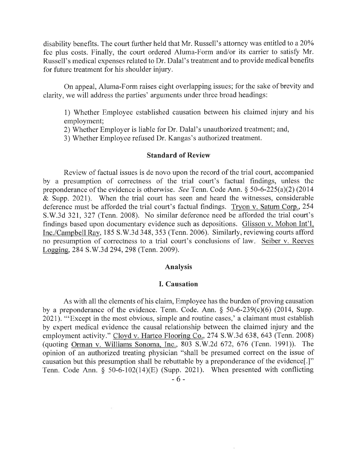disability benefits. The court further held that Mr. Russell's attorney was entitled to a 20% fee plus costs. Finally, the court ordered Aluma-Forrn and/or its carrier to satisfy Mr. Russell's medical expenses related to Dr. Dalal's treatment and to provide medical benefits for future treatment for his shoulder injury.

On appeal, Aluma-Form raises eight overlapping issues; for the sake of brevity and clarity, we will address the parties' argurnents under three broad headings:

1) Whether Ernployee established causation between his claimed injury and his employment;

2) Whether Employer is liable for Dr. Dalal's unauthorized treatment; and,

3) Whether Employee refused Dr. Kangas's authorized treatment.

## Standard of Review

Review of factual issues is de novo upon the record of the trial court, accompanied by a presumption of correctness of the trial court's factual findings, unless the preponderance of the evidence is otherwise. See Tenn. Code Ann. § 50-6-225(a)(2) (2014 & Supp. 2021). When the trial court has seen and heard the witnesses, considerable deference must be afforded the trial court's factual findings. Tryon v. Saturn Corp.,254 S.W.3d 321, 327 (Tenn. 2008). No similar deference need be afforded the trial court's findings based upon documentary evidence such as depositions. Glisson v. Mohon Int'l, Inc./Carnpbell Ray,185 S.W.3d 348, 353 (Tenn. 2006). Similarly, reviewing courts afford no presumption of correctness to a trial court's conclusions of law. Seiber v. Reeves Logging, 284 S.W.3d 294, 298 (Tenn. 2009).

## Analysis

## I. Causation

As with all the elements of his claim, Employee has the burden of proving causation by a preponderance of the evidence. Tenn. Code. Ann. § 50-6-239(c)(6) (2014, Supp. 2021). "'Except in the most obvious, simple and routine cases,' a claimant must establish by expert medical evidence the causal relationship between the claimed injury and the employment activity." Cloyd v. Hartco Flooring Co., 274 S.W.3d 638, 643 (Tenn. 2008) (quoting Orman v. Williams Sonoma, Inc., 803 S.W.2d 672, 676 (Tenn. 1991)). The opinion of an authorized treating physician "shall be presumed correct on the issue of causation but this presumption shall be rebuttable by a preponderance of the evidence.<sup>[1]"</sup> Tenn. Code Ann. § 50-6-102(14)(E) (Supp. 2021). When presented with conflicting - 6 -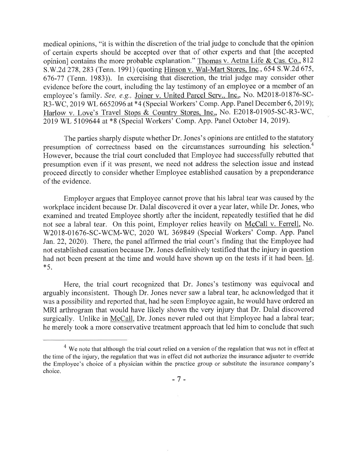medical opinions, "it is within the discretion of the trial judge to conclude that the opinion of certain experts should be accepted over that of other experts and that [the accepted opinion] contains the more probable explanation." Thomas v. Aetna Life & Cas. Co.,<sup>812</sup> S.W.2d 278, 283 (Tenn. 1991) (quoting Hinson v. Wal-Mart Stores, Inc.,654 S.W.2d 675, 676-77 (Tenn. 1983)). In exercising that discretion, the trial judge may consider other evidence before the court, including the lay testimony of an employee or a member of an employee's family. See, e.g., Joiner v. United Parcel Serv., Inc., No. M2018-01876-SC-R3-WC, 2019 WL 6652096 at \*4 (Special Workers' Comp. App. Panel December 6, 2019); Harlow v. Love's Travel Stops & Country Stores, Inc., No. E2018-01905-SC-R3-WC, 2019 WL 5109644 at \*8 (Special Workers' Comp. App. Panel October 14, 2019).

The parties sharply dispute whether Dr. Jones's opinions are entitled to the statutory presumption of correctness based on the circumstances surrounding his selection.<sup>4</sup> However, because the trial court concluded that Employee had successfully rebutted that presumption even if it was present, we need not address the selection issue and instead proceed directly to consider whether Employee established causation by a preponderance of the evidence.

Employer argues that Employee cannot prove that his labral tear was caused by the workplace incident because Dr. Dalal discovered it over a year later, while Dr. Jones, who examined and treated Employee shortly after the incident, repeatedly testified that he did not see a labral tear. On this point, Employer relies heavily on McCall v. Ferrell, No. W2018-01676-SC-WCM-WC, 2020 WL 369849 (Special Workers' Comp. App. Panel Jan. 22, 2020). There, the panel affirmed the trial court's finding that the Employee had not established causation because Dr. Jones definitively testified that the injury in question had not been present at the time and would have shown up on the tests if it had been. Id. \*5.

Here, the trial court recognized that Dr. Jones's testimony was equivocal and arguably inconsistent. Though Dr. Jones never saw a labral tear, he acknowledged that it was a possibility and reported that, had he seen Employee again, he would have ordered an MRI arthrogram that would have likely shown the very injury that Dr. Dalal discovered surgically. Unlike in McCall, Dr. Jones never ruled out that Employee had a labral tear; he merely took a more conservative treatment approach that led him to conclude that such

 $4$  We note that although the trial court relied on a version of the regulation that was not in effect at the time of the injury, the regulation that was in effect did not authorize the insurance adjuster to override the Employee's choice of a physician within the practice group or substitute the insurance company's choice.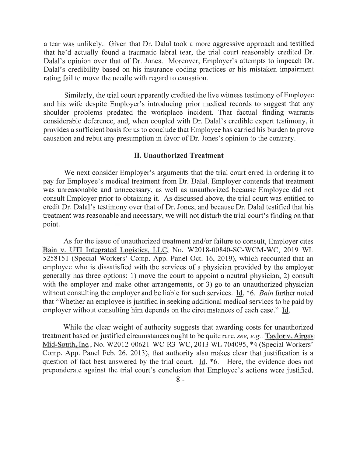a tear was unlikely. Given that Dr. Dalal took a more aggressive approach and testified that he'd actually found a traumatic labral tear, the trial court reasonably credited Dr. Dalal's opinion over that of Dr. Jones. Moreover, Employer's attempts to impeach Dr. Dalal's credibility based on his insurance coding practices or his mistaken impairment rating fail to move the needle with regard to causation.

Similarly, the trial court apparently credited the live witness testimony of Employee and his wife despite Employer's introducing prior rnedical records to suggest that any shoulder problems predated the workplace incident. That factual finding warrants considerable deference, and, when coupled with Dr. Dalal's credible expert testimony, it provides a sufficient basis for us to conclude that Ernployee has carried his burden to prove causation and rebut any presumption in favor of Dr. Jones's opinion to the contrary.

## II. Unauthorized Treatment

We next consider Employer's arguments that the trial court erred in ordering it to pay for Employee's medical treatrnent from Dr. Dalal. Employer contends that treatment was unreasonable and unnecessary, as well as unauthorized because Employee did not consult Employer prior to obtaining it. As discussed above, the trial court was entitled to credit Dr. Dalal's testirnony over that of Dr. Jones, and because Dr. Dalal testified that his treatment was reasonable and necessary, we will not disturb the trial court's finding on that point.

As for the issue of unauthorized treatment and/or failure to consult, Employer cites Bain v. UTI Integrated Logistics, LLC, No. W2018-00840-SC-WCM-WC, 2019 WL 5258151 (Special Workers' Comp. App. Panel Oct. 16, 2019), which recounted that an employee who is dissatisfied with the services of a physician provided by the employer generally has three options: 1) move the court to appoint a neutral physician, 2) consult with the employer and make other arrangements, or  $3$ ) go to an unauthorized physician without consulting the employer and be liable for such services. Id. \*6. Bain further noted that "Whether an employee is justified in seeking additional medical services to be paid by employer without consulting him depends on the circumstances of each case." Id.

While the clear weight of authority suggests that awarding costs for unauthorized treatment based on justified circumstances ought to be quite rare, see, e.g., Taylor v. Airgas Mid-South, Inc.,No. W2012-00621-WC-R3-WC, 2013 WL 704095, \*4 (Special Workers' Comp. App. Panel Feb. 26, 2013), that authority also makes clear that justification is a question of fact best answered by the trial court. Id. \*6. Here, the evidence does not preponderate against the trial court's conclusion that Employee's actions were justified.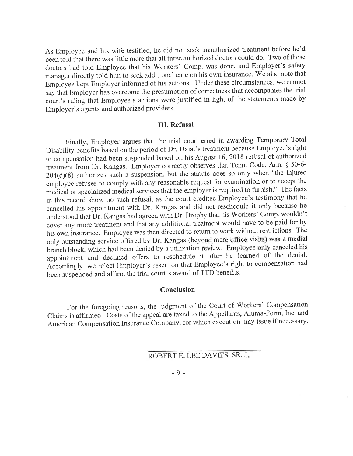As Employee and his wife testified, he did not seek unauthorized treatment before he'd been told that there was little more that all three authorized doctors could do. Two of those doctors had told Employee that his Workers' Comp. was done, and Employer's safety manager directly told him to seek additional care on his own insurance. We also note that Employee kept Employer inforrned of his actions. Under these circumstances, we cannot say that Employer has overcome the presumption of correctness that accompanies the trial court's ruling that Employee's actions were justified in light of the statements made by Employer's agents and authorized providers.

#### III. Refusal

Finally, Employer argues that the trial court erred in awarding Temporary Total Disability benefits based on the period of Dr. Dalal's treatment because Employee's right to compensation had been suspended based on his August 16, 2018 refusal of authorized treatment from Dr. Kangas. Employer correctly observes that Tenn. Code. Ann. § 50-6- 204(d)(8) authorizes such a suspension, but the statute does so only when "the injured employee refuses to comply with any reasonable request for examination or to accept the medical or specialized medical services that the employer is required to furnish." The facts in this record show no such refusal, as the court credited Employee's testimony that he cancelled his appointment with Dr. Kangas and did not reschedule it only because he understood that Dr. Kangas had agreed with Dr. Brophy that his Workers' Comp. wouldn't cover any more treatment and that any additional treatment would have to be paid for by his own insurance. Employee was then directed to return to work without restrictions. The only outstanding service offered by Dr. Kangas (beyond mere office visits) was <sup>a</sup>medial branch block, which had been denied by a utilization review. Employee only canceled his appointment and declined offers to reschedule it after he learned of the denial. Accordingly, we reject Employer's assertion that Employee's right to compensation had been suspended and affirm the trial court's award of TTD benefits.

#### Conclusion

For the foregoing reasons, the judgment of the Court of Workers' Compensation Claims is affirmed. Costs of the appeal are taxed to the Appellants, Aluma-Fonn, Inc. and American Compensation Insurance Company, for which execution may issue if necessary.

- 9 -

ROBERT E. LEE DAVIES, SR. J.